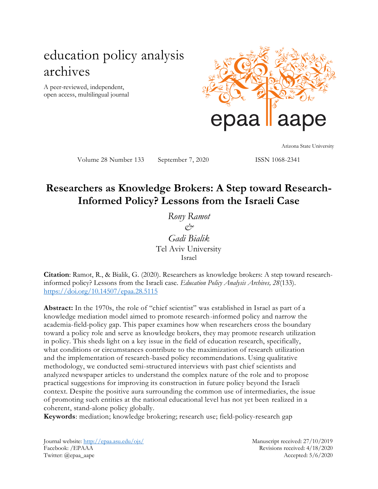# education policy analysis archives

A peer-reviewed, independent, open access, multilingual journal



Arizona State University

Volume 28 Number 133 September 7, 2020 ISSN 1068-2341

## **Researchers as Knowledge Brokers: A Step toward Research-Informed Policy? Lessons from the Israeli Case**

*Rony Ramot*  $\alpha$ <sup>2</sup> *Gadi Bialik*  Tel Aviv University Israel

**Citation**: Ramot, R., & Bialik, G. (2020). Researchers as knowledge brokers: A step toward researchinformed policy? Lessons from the Israeli case. *Education Policy Analysis Archives, 28*(133). <https://doi.org/10.14507/epaa.28.5115>

**Abstract:** In the 1970s, the role of "chief scientist" was established in Israel as part of a knowledge mediation model aimed to promote research-informed policy and narrow the academia-field-policy gap. This paper examines how when researchers cross the boundary toward a policy role and serve as knowledge brokers, they may promote research utilization in policy. This sheds light on a key issue in the field of education research, specifically, what conditions or circumstances contribute to the maximization of research utilization and the implementation of research-based policy recommendations. Using qualitative methodology, we conducted semi-structured interviews with past chief scientists and analyzed newspaper articles to understand the complex nature of the role and to propose practical suggestions for improving its construction in future policy beyond the Israeli context. Despite the positive aura surrounding the common use of intermediaries, the issue of promoting such entities at the national educational level has not yet been realized in a coherent, stand-alone policy globally.

**Keywords**: mediation; knowledge brokering; research use; field-policy-research gap

Journal website:<http://epaa.asu.edu/ojs/> Manuscript received: 27/10/2019 Facebook: /EPAAA Revisions received: 4/18/2020 Twitter: @epaa\_aape Accepted: 5/6/2020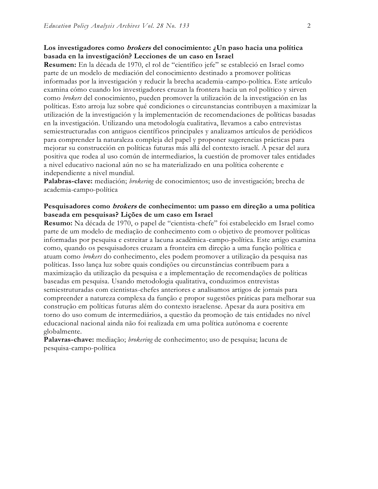## **Los investigadores como brokers del conocimiento: ¿Un paso hacia una política basada en la investigación? Lecciones de un caso en Israel**

**Resumen:** En la década de 1970, el rol de "científico jefe" se estableció en Israel como parte de un modelo de mediación del conocimiento destinado a promover políticas informadas por la investigación y reducir la brecha academia-campo-política. Este artículo examina cómo cuando los investigadores cruzan la frontera hacia un rol político y sirven como *brokers* del conocimiento, pueden promover la utilización de la investigación en las políticas. Esto arroja luz sobre qué condiciones o circunstancias contribuyen a maximizar la utilización de la investigación y la implementación de recomendaciones de políticas basadas en la investigación. Utilizando una metodología cualitativa, llevamos a cabo entrevistas semiestructuradas con antiguos científicos principales y analizamos artículos de periódicos para comprender la naturaleza compleja del papel y proponer sugerencias prácticas para mejorar su construcción en políticas futuras más allá del contexto israelí. A pesar del aura positiva que rodea al uso común de intermediarios, la cuestión de promover tales entidades a nivel educativo nacional aún no se ha materializado en una política coherente e independiente a nivel mundial.

**Palabras-clave:** mediación; *brokering* de conocimientos; uso de investigación; brecha de academia-campo-política

#### **Pesquisadores como brokers de conhecimento: um passo em direção a uma política baseada em pesquisas? Lições de um caso em Israel**

**Resumo:** Na década de 1970, o papel de "cientista-chefe" foi estabelecido em Israel como parte de um modelo de mediação de conhecimento com o objetivo de promover políticas informadas por pesquisa e estreitar a lacuna acadêmica-campo-política. Este artigo examina como, quando os pesquisadores cruzam a fronteira em direção a uma função política e atuam como *brokers* do conhecimento, eles podem promover a utilização da pesquisa nas políticas. Isso lança luz sobre quais condições ou circunstâncias contribuem para a maximização da utilização da pesquisa e a implementação de recomendações de políticas baseadas em pesquisa. Usando metodologia qualitativa, conduzimos entrevistas semiestruturadas com cientistas-chefes anteriores e analisamos artigos de jornais para compreender a natureza complexa da função e propor sugestões práticas para melhorar sua construção em políticas futuras além do contexto israelense. Apesar da aura positiva em torno do uso comum de intermediários, a questão da promoção de tais entidades no nível educacional nacional ainda não foi realizada em uma política autônoma e coerente globalmente.

**Palavras-chave:** mediação; *brokering* de conhecimento; uso de pesquisa; lacuna de pesquisa-campo-política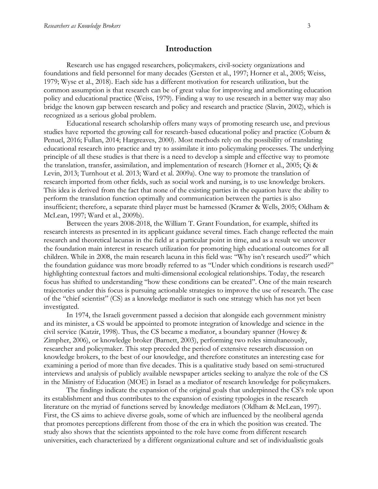#### **Introduction**

Research use has engaged researchers, policymakers, civil-society organizations and foundations and field personnel for many decades (Gersten et al., 1997; Horner et al., 2005; Weiss, 1979; Wyse et al., 2018). Each side has a different motivation for research utilization, but the common assumption is that research can be of great value for improving and ameliorating education policy and educational practice (Weiss, 1979). Finding a way to use research in a better way may also bridge the known gap between research and policy and research and practice (Slavin, 2002), which is recognized as a serious global problem.

Educational research scholarship offers many ways of promoting research use, and previous studies have reported the growing call for research-based educational policy and practice (Coburn & Penuel, 2016; Fullan, 2014; Hargreaves, 2000). Most methods rely on the possibility of translating educational research into practice and try to assimilate it into policymaking processes. The underlying principle of all these studies is that there is a need to develop a simple and effective way to promote the translation, transfer, assimilation, and implementation of research (Horner et al., 2005; Qi & Levin, 2013; Turnhout et al. 2013; Ward et al. 2009a). One way to promote the translation of research imported from other fields, such as social work and nursing, is to use knowledge brokers. This idea is derived from the fact that none of the existing parties in the equation have the ability to perform the translation function optimally and communication between the parties is also insufficient; therefore, a separate third player must be harnessed (Kramer & Wells, 2005; Oldham & McLean, 1997; Ward et al., 2009b).

Between the years 2008-2018, the William T. Grant Foundation, for example, shifted its research interests as presented in its applicant guidance several times. Each change reflected the main research and theoretical lacunas in the field at a particular point in time, and as a result we uncover the foundation main interest in research utilization for promoting high educational outcomes for all children. While in 2008, the main research lacuna in this field was: "Why isn't research used?" which the foundation guidance was more broadly referred to as "Under which conditions is research used?" highlighting contextual factors and multi-dimensional ecological relationships. Today, the research focus has shifted to understanding "how these conditions can be created". One of the main research trajectories under this focus is pursuing actionable strategies to improve the use of research. The case of the "chief scientist" (CS) as a knowledge mediator is such one strategy which has not yet been investigated.

In 1974, the Israeli government passed a decision that alongside each government ministry and its minister, a CS would be appointed to promote integration of knowledge and science in the civil service (Katzir, 1998). Thus, the CS became a mediator, a boundary spanner (Howey & Zimpher, 2006), or knowledge broker (Barnett, 2003), performing two roles simultaneously, researcher and policymaker. This step preceded the period of extensive research discussion on knowledge brokers, to the best of our knowledge, and therefore constitutes an interesting case for examining a period of more than five decades. This is a qualitative study based on semi-structured interviews and analysis of publicly available newspaper articles seeking to analyze the role of the CS in the Ministry of Education (MOE) in Israel as a mediator of research knowledge for policymakers.

The findings indicate the expansion of the original goals that underpinned the CS's role upon its establishment and thus contributes to the expansion of existing typologies in the research literature on the myriad of functions served by knowledge mediators (Oldham & McLean, 1997). First, the CS aims to achieve diverse goals, some of which are influenced by the neoliberal agenda that promotes perceptions different from those of the era in which the position was created. The study also shows that the scientists appointed to the role have come from different research universities, each characterized by a different organizational culture and set of individualistic goals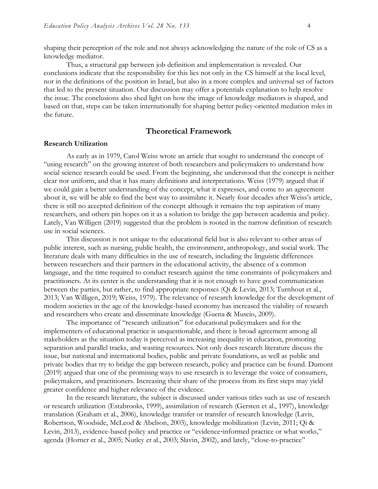shaping their perception of the role and not always acknowledging the nature of the role of CS as a knowledge mediator.

Thus, a structural gap between job definition and implementation is revealed. Our conclusions indicate that the responsibility for this lies not only in the CS himself at the local level, nor in the definitions of the position in Israel, but also in a more complex and universal set of factors that led to the present situation. Our discussion may offer a potentials explanation to help resolve the issue. The conclusions also shed light on how the image of knowledge mediators is shaped, and based on that, steps can be taken internationally for shaping better policy-oriented mediation roles in the future.

#### **Theoretical Framework**

#### **Research Utilization**

As early as in 1979, Carol Weiss wrote an article that sought to understand the concept of "using research" on the growing interest of both researchers and policymakers to understand how social science research could be used. From the beginning, she understood that the concept is neither clear nor uniform, and that it has many definitions and interpretations. Weiss (1979) argued that if we could gain a better understanding of the concept, what it expresses, and come to an agreement about it, we will be able to find the best way to assimilate it. Nearly four decades after Weiss's article, there is still no accepted definition of the concept although it remains the top aspiration of many researchers, and others pin hopes on it as a solution to bridge the gap between academia and policy. Lately, Van Willigen (2019) suggested that the problem is rooted in the narrow definition of research use in social sciences.

This discussion is not unique to the educational field but is also relevant to other areas of public interest, such as nursing, public health, the environment, anthropology, and social work. The literature deals with many difficulties in the use of research, including the linguistic differences between researchers and their partners in the educational activity, the absence of a common language, and the time required to conduct research against the time constraints of policymakers and practitioners. At its center is the understanding that it is not enough to have good communication between the parties, but rather, to find appropriate responses (Qi & Levin, 2013; Turnhout et al., 2013; Van Willigen, 2019; Weiss, 1979). The relevance of research knowledge for the development of modern societies in the age of the knowledge-based economy has increased the viability of research and researchers who create and disseminate knowledge (Guena & Muscio, 2009).

The importance of "research utilization" for educational policymakers and for the implementers of educational practice is unquestionable, and there is broad agreement among all stakeholders as the situation today is perceived as increasing inequality in education, promoting separation and parallel tracks, and wasting resources. Not only does research literature discuss the issue, but national and international bodies, public and private foundations, as well as public and private bodies that try to bridge the gap between research, policy and practice can be found. Dumont (2019) argued that one of the promising ways to use research is to leverage the voice of consumers, policymakers, and practitioners. Increasing their share of the process from its first steps may yield greater confidence and higher relevance of the evidence.

In the research literature, the subject is discussed under various titles such as use of research or research utilization (Estabrooks, 1999), assimilation of research (Gersten et al., 1997), knowledge translation (Graham et al., 2006), knowledge transfer or transfer of research knowledge (Lavis, Robertson, Woodside, McLeod & Abelson, 2003), knowledge mobilization (Levin, 2011; Qi & Levin, 2013), evidence-based policy and practice or "evidence-informed practice or what works," agenda (Horner et al., 2005; Nutley et al., 2003; Slavin, 2002), and lately, "close-to-practice"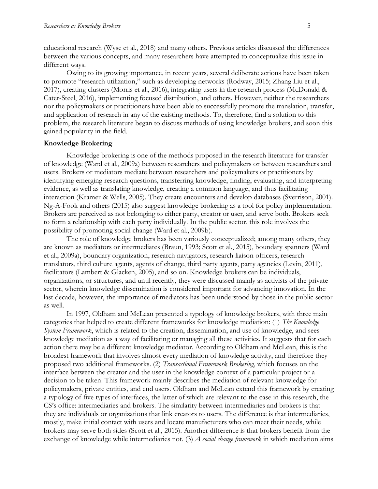educational research (Wyse et al., 2018) and many others. Previous articles discussed the differences between the various concepts, and many researchers have attempted to conceptualize this issue in different ways.

Owing to its growing importance, in recent years, several deliberate actions have been taken to promote "research utilization," such as developing networks (Rodway, 2015; Zhang Liu et al., 2017), creating clusters (Morris et al., 2016), integrating users in the research process (McDonald & Cater-Steel, 2016), implementing focused distribution, and others. However, neither the researchers nor the policymakers or practitioners have been able to successfully promote the translation, transfer, and application of research in any of the existing methods. To, therefore, find a solution to this problem, the research literature began to discuss methods of using knowledge brokers, and soon this gained popularity in the field.

#### **Knowledge Brokering**

Knowledge brokering is one of the methods proposed in the research literature for transfer of knowledge (Ward et al., 2009a) between researchers and policymakers or between researchers and users. Brokers or mediators mediate between researchers and policymakers or practitioners by identifying emerging research questions, transferring knowledge, finding, evaluating, and interpreting evidence, as well as translating knowledge, creating a common language, and thus facilitating interaction (Kramer & Wells, 2005). They create encounters and develop databases (Sverrison, 2001). Ng-A-Fook and others (2015) also suggest knowledge brokering as a tool for policy implementation. Brokers are perceived as not belonging to either party, creator or user, and serve both. Brokers seek to form a relationship with each party individually. In the public sector, this role involves the possibility of promoting social change (Ward et al., 2009b).

The role of knowledge brokers has been variously conceptualized; among many others, they are known as mediators or intermediates (Braun, 1993; Scott et al., 2015), boundary spanners (Ward et al., 2009a), boundary organization, research navigators, research liaison officers, research translators, third culture agents, agents of change, third party agents, party agencies (Levin, 2011), facilitators (Lambert & Glacken, 2005), and so on. Knowledge brokers can be individuals, organizations, or structures, and until recently, they were discussed mainly as activists of the private sector, wherein knowledge dissemination is considered important for advancing innovation. In the last decade, however, the importance of mediators has been understood by those in the public sector as well.

In 1997, Oldham and McLean presented a typology of knowledge brokers, with three main categories that helped to create different frameworks for knowledge mediation: (1) *The Knowledge System Framework*, which is related to the creation, dissemination, and use of knowledge, and sees knowledge mediation as a way of facilitating or managing all these activities. It suggests that for each action there may be a different knowledge mediator. According to Oldham and McLean, this is the broadest framework that involves almost every mediation of knowledge activity, and therefore they proposed two additional frameworks. (2) *Transactional Framework Brokering*, which focuses on the interface between the creator and the user in the knowledge context of a particular project or a decision to be taken. This framework mainly describes the mediation of relevant knowledge for policymakers, private entities, and end users. Oldham and McLean extend this framework by creating a typology of five types of interfaces, the latter of which are relevant to the case in this research, the CS's office: intermediaries and brokers. The similarity between intermediaries and brokers is that they are individuals or organizations that link creators to users. The difference is that intermediaries, mostly, make initial contact with users and locate manufacturers who can meet their needs, while brokers may serve both sides (Scott et al., 2015). Another difference is that brokers benefit from the exchange of knowledge while intermediaries not. (3) *A social change framework* in which mediation aims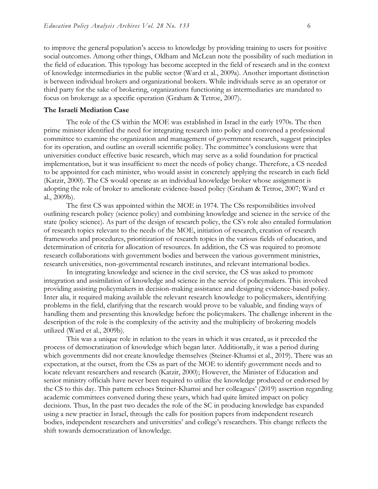to improve the general population's access to knowledge by providing training to users for positive social outcomes. Among other things, Oldham and McLean note the possibility of such mediation in the field of education. This typology has become accepted in the field of research and in the context of knowledge intermediaries in the public sector (Ward et al., 2009a). Another important distinction is between individual brokers and organizational brokers. While individuals serve as an operator or third party for the sake of brokering, organizations functioning as intermediaries are mandated to focus on brokerage as a specific operation (Graham & Tetroe, 2007).

#### **The Israeli Mediation Case**

The role of the CS within the MOE was established in Israel in the early 1970s. The then prime minister identified the need for integrating research into policy and convened a professional committee to examine the organization and management of government research, suggest principles for its operation, and outline an overall scientific policy. The committee's conclusions were that universities conduct effective basic research, which may serve as a solid foundation for practical implementation, but it was insufficient to meet the needs of policy change. Therefore, a CS needed to be appointed for each minister, who would assist in concretely applying the research in each field (Katzir, 2000). The CS would operate as an individual knowledge broker whose assignment is adopting the role of broker to ameliorate evidence-based policy (Graham & Tetroe, 2007; Ward et al., 2009b).

The first CS was appointed within the MOE in 1974. The CSs responsibilities involved outlining research policy (science policy) and combining knowledge and science in the service of the state (policy science). As part of the design of research policy, the CS's role also entailed formulation of research topics relevant to the needs of the MOE, initiation of research, creation of research frameworks and procedures, prioritization of research topics in the various fields of education, and determination of criteria for allocation of resources. In addition, the CS was required to promote research collaborations with government bodies and between the various government ministries, research universities, non-governmental research institutes, and relevant international bodies.

In integrating knowledge and science in the civil service, the CS was asked to promote integration and assimilation of knowledge and science in the service of policymakers. This involved providing assisting policymakers in decision-making assistance and designing evidence-based policy. Inter alia, it required making available the relevant research knowledge to policymakers, identifying problems in the field, clarifying that the research would prove to be valuable, and finding ways of handling them and presenting this knowledge before the policymakers. The challenge inherent in the description of the role is the complexity of the activity and the multiplicity of brokering models utilized (Ward et al., 2009b).

This was a unique role in relation to the years in which it was created, as it preceded the process of democratization of knowledge which began later. Additionally, it was a period during which governments did not create knowledge themselves (Steiner-Khamsi et al., 2019). There was an expectation, at the outset, from the CSs as part of the MOE to identify government needs and to locate relevant researchers and research (Katzir, 2000); However, the Minister of Education and senior ministry officials have never been required to utilize the knowledge produced or endorsed by the CS to this day. This pattern echoes Steiner-Khamsi and her colleagues' (2019) assertion regarding academic committees convened during these years, which had quite limited impact on policy decisions. Thus, In the past two decades the role of the SC in producing knowledge has expanded using a new practice in Israel, through the calls for position papers from independent research bodies, independent researchers and universities' and college's researchers. This change reflects the shift towards democratization of knowledge.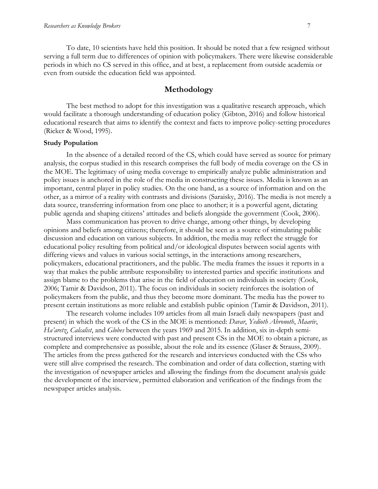To date, 10 scientists have held this position. It should be noted that a few resigned without serving a full term due to differences of opinion with policymakers. There were likewise considerable periods in which no CS served in this office, and at best, a replacement from outside academia or even from outside the education field was appointed.

### **Methodology**

The best method to adopt for this investigation was a qualitative research approach, which would facilitate a thorough understanding of education policy (Gibton, 2016) and follow historical educational research that aims to identify the context and facts to improve policy-setting procedures (Ricker & Wood, 1995).

#### **Study Population**

In the absence of a detailed record of the CS, which could have served as source for primary analysis, the corpus studied in this research comprises the full body of media coverage on the CS in the MOE. The legitimacy of using media coverage to empirically analyze public administration and policy issues is anchored in the role of the media in constructing these issues. Media is known as an important, central player in policy studies. On the one hand, as a source of information and on the other, as a mirror of a reality with contrasts and divisions (Saraisky, 2016). The media is not merely a data source, transferring information from one place to another; it is a powerful agent, dictating public agenda and shaping citizens' attitudes and beliefs alongside the government (Cook, 2006).

Mass communication has proven to drive change, among other things, by developing opinions and beliefs among citizens; therefore, it should be seen as a source of stimulating public discussion and education on various subjects. In addition, the media may reflect the struggle for educational policy resulting from political and/or ideological disputes between social agents with differing views and values in various social settings, in the interactions among researchers, policymakers, educational practitioners, and the public. The media frames the issues it reports in a way that makes the public attribute responsibility to interested parties and specific institutions and assign blame to the problems that arise in the field of education on individuals in society (Cook, 2006; Tamir & Davidson, 2011). The focus on individuals in society reinforces the isolation of policymakers from the public, and thus they become more dominant. The media has the power to present certain institutions as more reliable and establish public opinion (Tamir & Davidson, 2011).

The research volume includes 109 articles from all main Israeli daily newspapers (past and present) in which the work of the CS in the MOE is mentioned: *Davar*, *Yedioth Ahronoth*, *Maariv*, *Ha'aretz*, *Calcalist*, and *Globes* between the years 1969 and 2015. In addition, six in-depth semistructured interviews were conducted with past and present CSs in the MOE to obtain a picture, as complete and comprehensive as possible, about the role and its essence (Glaser & Strauss, 2009). The articles from the press gathered for the research and interviews conducted with the CSs who were still alive comprised the research. The combination and order of data collection, starting with the investigation of newspaper articles and allowing the findings from the document analysis guide the development of the interview, permitted elaboration and verification of the findings from the newspaper articles analysis.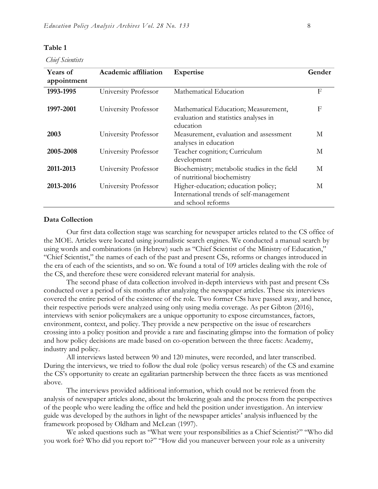#### **Table 1**

*Chief Scientists*

| Years of<br>appointment | Academic affiliation | <b>Expertise</b>                                                                                     | Gender |
|-------------------------|----------------------|------------------------------------------------------------------------------------------------------|--------|
| 1993-1995               | University Professor | Mathematical Education                                                                               | F      |
| 1997-2001               | University Professor | Mathematical Education; Measurement,<br>evaluation and statistics analyses in<br>education           | F      |
| 2003                    | University Professor | Measurement, evaluation and assessment<br>analyses in education                                      | M      |
| 2005-2008               | University Professor | Teacher cognition; Curriculum<br>development                                                         | M      |
| 2011-2013               | University Professor | Biochemistry; metabolic studies in the field<br>of nutritional biochemistry                          | M      |
| 2013-2016               | University Professor | Higher-education; education policy;<br>International trends of self-management<br>and school reforms | M      |

#### **Data Collection**

Our first data collection stage was searching for newspaper articles related to the CS office of the MOE. Articles were located using journalistic search engines. We conducted a manual search by using words and combinations (in Hebrew) such as "Chief Scientist of the Ministry of Education," "Chief Scientist," the names of each of the past and present CSs, reforms or changes introduced in the era of each of the scientists, and so on. We found a total of 109 articles dealing with the role of the CS, and therefore these were considered relevant material for analysis.

The second phase of data collection involved in-depth interviews with past and present CSs conducted over a period of six months after analyzing the newspaper articles. These six interviews covered the entire period of the existence of the role. Two former CSs have passed away, and hence, their respective periods were analyzed using only using media coverage. As per Gibton (2016), interviews with senior policymakers are a unique opportunity to expose circumstances, factors, environment, context, and policy. They provide a new perspective on the issue of researchers crossing into a policy position and provide a rare and fascinating glimpse into the formation of policy and how policy decisions are made based on co-operation between the three facets: Academy, industry and policy.

All interviews lasted between 90 and 120 minutes, were recorded, and later transcribed. During the interviews, we tried to follow the dual role (policy versus research) of the CS and examine the CS's opportunity to create an egalitarian partnership between the three facets as was mentioned above.

The interviews provided additional information, which could not be retrieved from the analysis of newspaper articles alone, about the brokering goals and the process from the perspectives of the people who were leading the office and held the position under investigation. An interview guide was developed by the authors in light of the newspaper articles' analysis influenced by the framework proposed by Oldham and McLean (1997).

We asked questions such as "What were your responsibilities as a Chief Scientist?" "Who did you work for? Who did you report to?" "How did you maneuver between your role as a university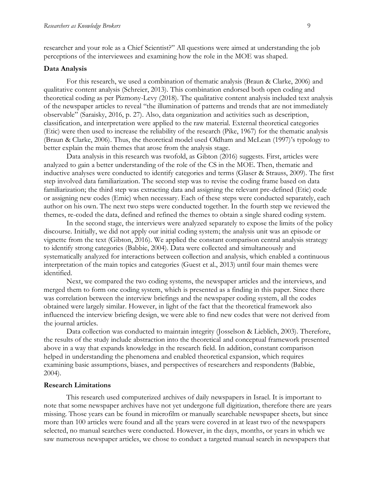researcher and your role as a Chief Scientist?" All questions were aimed at understanding the job perceptions of the interviewees and examining how the role in the MOE was shaped.

#### **Data Analysis**

For this research, we used a combination of thematic analysis (Braun & Clarke, 2006) and qualitative content analysis (Schreier, 2013). This combination endorsed both open coding and theoretical coding as per Pizmony-Levy (2018). The qualitative content analysis included text analysis of the newspaper articles to reveal "the illumination of patterns and trends that are not immediately observable" (Saraisky, 2016, p. 27). Also, data organization and activities such as description, classification, and interpretation were applied to the raw material. External theoretical categories (Etic) were then used to increase the reliability of the research (Pike, 1967) for the thematic analysis (Braun & Clarke, 2006). Thus, the theoretical model used Oldham and McLean (1997)'s typology to better explain the main themes that arose from the analysis stage.

Data analysis in this research was twofold, as Gibton (2016) suggests. First, articles were analyzed to gain a better understanding of the role of the CS in the MOE. Then, thematic and inductive analyses were conducted to identify categories and terms (Glaser & Strauss, 2009). The first step involved data familiarization. The second step was to revise the coding frame based on data familiarization; the third step was extracting data and assigning the relevant pre-defined (Etic) code or assigning new codes (Emic) when necessary. Each of these steps were conducted separately, each author on his own. The next two steps were conducted together. In the fourth step we reviewed the themes, re-coded the data, defined and refined the themes to obtain a single shared coding system.

In the second stage, the interviews were analyzed separately to expose the limits of the policy discourse. Initially, we did not apply our initial coding system; the analysis unit was an episode or vignette from the text (Gibton, 2016). We applied the constant comparison central analysis strategy to identify strong categories (Babbie, 2004). Data were collected and simultaneously and systematically analyzed for interactions between collection and analysis, which enabled a continuous interpretation of the main topics and categories (Guest et al., 2013) until four main themes were identified.

Next, we compared the two coding systems, the newspaper articles and the interviews, and merged them to form one coding system, which is presented as a finding in this paper. Since there was correlation between the interview briefings and the newspaper coding system, all the codes obtained were largely similar. However, in light of the fact that the theoretical framework also influenced the interview briefing design, we were able to find new codes that were not derived from the journal articles.

Data collection was conducted to maintain integrity (Josselson & Lieblich, 2003). Therefore, the results of the study include abstraction into the theoretical and conceptual framework presented above in a way that expands knowledge in the research field. In addition, constant comparison helped in understanding the phenomena and enabled theoretical expansion, which requires examining basic assumptions, biases, and perspectives of researchers and respondents (Babbie, 2004).

#### **Research Limitations**

This research used computerized archives of daily newspapers in Israel. It is important to note that some newspaper archives have not yet undergone full digitization, therefore there are years missing. Those years can be found in microfilm or manually searchable newspaper sheets, but since more than 100 articles were found and all the years were covered in at least two of the newspapers selected, no manual searches were conducted. However, in the days, months, or years in which we saw numerous newspaper articles, we chose to conduct a targeted manual search in newspapers that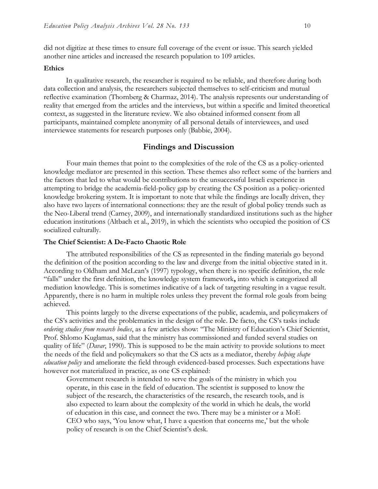did not digitize at these times to ensure full coverage of the event or issue. This search yielded another nine articles and increased the research population to 109 articles.

#### **Ethics**

In qualitative research, the researcher is required to be reliable, and therefore during both data collection and analysis, the researchers subjected themselves to self-criticism and mutual reflective examination (Thornberg & Charmaz, 2014). The analysis represents our understanding of reality that emerged from the articles and the interviews, but within a specific and limited theoretical context, as suggested in the literature review. We also obtained informed consent from all participants, maintained complete anonymity of all personal details of interviewees, and used interviewee statements for research purposes only (Babbie, 2004).

### **Findings and Discussion**

Four main themes that point to the complexities of the role of the CS as a policy-oriented knowledge mediator are presented in this section. These themes also reflect some of the barriers and the factors that led to what would be contributions to the unsuccessful Israeli experience in attempting to bridge the academia-field-policy gap by creating the CS position as a policy-oriented knowledge brokering system. It is important to note that while the findings are locally driven, they also have two layers of international connections: they are the result of global policy trends such as the Neo-Liberal trend (Carney, 2009), and internationally standardized institutions such as the higher education institutions (Altbach et al., 2019), in which the scientists who occupied the position of CS socialized culturally.

#### **The Chief Scientist: A De-Facto Chaotic Role**

The attributed responsibilities of the CS as represented in the finding materials go beyond the definition of the position according to the law and diverge from the initial objective stated in it. According to Oldham and McLean's (1997) typology, when there is no specific definition, the role "falls" under the first definition, the knowledge system framework**,** into which is categorized all mediation knowledge. This is sometimes indicative of a lack of targeting resulting in a vague result. Apparently, there is no harm in multiple roles unless they prevent the formal role goals from being achieved.

This points largely to the diverse expectations of the public, academia, and policymakers of the CS's activities and the problematics in the design of the role. De facto, the CS's tasks include *ordering studies from research bodies*, as a few articles show: "The Ministry of Education's Chief Scientist, Prof. Shlomo Kuglamas, said that the ministry has commissioned and funded several studies on quality of life" (*Davar*, 1990). This is supposed to be the main activity to provide solutions to meet the needs of the field and policymakers so that the CS acts as a mediator, thereby *helping shape education policy* and ameliorate the field through evidenced-based processes. Such expectations have however not materialized in practice, as one CS explained:

Government research is intended to serve the goals of the ministry in which you operate, in this case in the field of education. The scientist is supposed to know the subject of the research, the characteristics of the research, the research tools, and is also expected to learn about the complexity of the world in which he deals, the world of education in this case, and connect the two. There may be a minister or a MoE CEO who says, 'You know what, I have a question that concerns me,' but the whole policy of research is on the Chief Scientist's desk.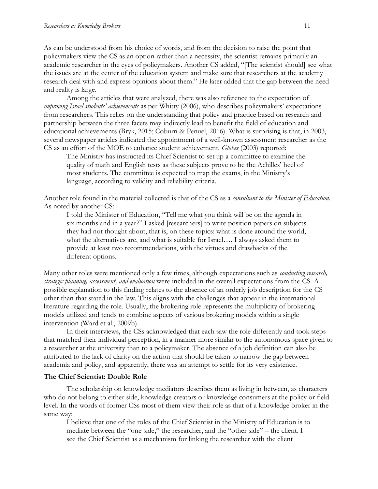As can be understood from his choice of words, and from the decision to raise the point that policymakers view the CS as an option rather than a necessity, the scientist remains primarily an academic researcher in the eyes of policymakers. Another CS added, "[The scientist should] see what the issues are at the center of the education system and make sure that researchers at the academy research deal with and express opinions about them." He later added that the gap between the need and reality is large.

Among the articles that were analyzed, there was also reference to the expectation of *improving Israel students' achievements* as per Whitty (2006), who describes policymakers' expectations from researchers. This relies on the understanding that policy and practice based on research and partnership between the three facets may indirectly lead to benefit the field of education and educational achievements (Bryk, 2015; Coburn & Penuel, 2016). What is surprising is that, in 2003, several newspaper articles indicated the appointment of a well-known assessment researcher as the CS as an effort of the MOE to enhance student achievement. *Globes* (2003) reported:

The Ministry has instructed its Chief Scientist to set up a committee to examine the quality of math and English tests as these subjects prove to be the Achilles' heel of most students. The committee is expected to map the exams, in the Ministry's language, according to validity and reliability criteria.

Another role found in the material collected is that of the CS as a *consultant to the Minister of Education*. As noted by another CS:

I told the Minister of Education, "Tell me what you think will be on the agenda in six months and in a year?" I asked [researchers] to write position papers on subjects they had not thought about, that is, on these topics: what is done around the world, what the alternatives are, and what is suitable for Israel…. I always asked them to provide at least two recommendations, with the virtues and drawbacks of the different options.

Many other roles were mentioned only a few times, although expectations such as *conducting research, strategic planning, assessment, and evaluation* were included in the overall expectations from the CS. A possible explanation to this finding relates to the absence of an orderly job description for the CS other than that stated in the law. This aligns with the challenges that appear in the international literature regarding the role. Usually, the brokering role represents the multiplicity of brokering models utilized and tends to combine aspects of various brokering models within a single intervention (Ward et al., 2009b).

In their interviews, the CSs acknowledged that each saw the role differently and took steps that matched their individual perception, in a manner more similar to the autonomous space given to a researcher at the university than to a policymaker. The absence of a job definition can also be attributed to the lack of clarity on the action that should be taken to narrow the gap between academia and policy, and apparently, there was an attempt to settle for its very existence.

#### **The Chief Scientist: Double Role**

The scholarship on knowledge mediators describes them as living in between, as characters who do not belong to either side, knowledge creators or knowledge consumers at the policy or field level. In the words of former CSs most of them view their role as that of a knowledge broker in the same way:

I believe that one of the roles of the Chief Scientist in the Ministry of Education is to mediate between the "one side," the researcher, and the "other side" – the client. I see the Chief Scientist as a mechanism for linking the researcher with the client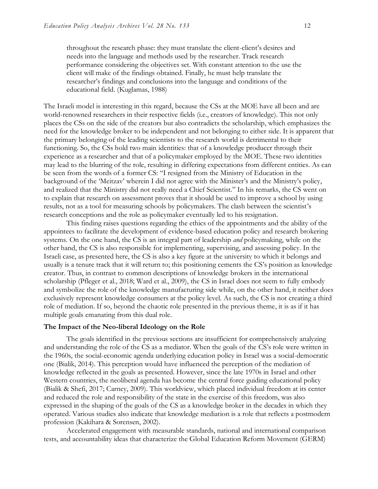throughout the research phase: they must translate the client-client's desires and needs into the language and methods used by the researcher. Track research performance considering the objectives set. With constant attention to the use the client will make of the findings obtained. Finally, he must help translate the researcher's findings and conclusions into the language and conditions of the educational field. (Kuglamas, 1988)

The Israeli model is interesting in this regard, because the CSs at the MOE have all been and are world-renowned researchers in their respective fields (i.e., creators of knowledge). This not only places the CSs on the side of the creators but also contradicts the scholarship, which emphasizes the need for the knowledge broker to be independent and not belonging to either side. It is apparent that the primary belonging of the leading scientists to the research world is detrimental to their functioning. So, the CSs hold two main identities: that of a knowledge producer through their experience as a researcher and that of a policymaker employed by the MOE. These two identities may lead to the blurring of the role, resulting in differing expectations from different entities. As can be seen from the words of a former CS: "I resigned from the Ministry of Education in the background of the 'Meitzav' wherein I did not agree with the Minister's and the Ministry's policy, and realized that the Ministry did not really need a Chief Scientist." In his remarks, the CS went on to explain that research on assessment proves that it should be used to improve a school by using results, not as a tool for measuring schools by policymakers. The clash between the scientist's research conceptions and the role as policymaker eventually led to his resignation.

This finding raises questions regarding the ethics of the appointments and the ability of the appointees to facilitate the development of evidence-based education policy and research brokering systems. On the one hand, the CS is an integral part of leadership *and* policymaking, while on the other hand, the CS is also responsible for implementing, supervising, and assessing policy. In the Israeli case, as presented here, the CS is also a key figure at the university to which it belongs and usually is a tenure track that it will return to; this positioning cements the CS's position as knowledge creator. Thus, in contrast to common descriptions of knowledge brokers in the international scholarship (Pfleger et al., 2018; Ward et al., 2009), the CS in Israel does not seem to fully embody and symbolize the role of the knowledge manufacturing side while, on the other hand, it neither does exclusively represent knowledge consumers at the policy level. As such, the CS is not creating a third role of mediation. If so, beyond the chaotic role presented in the previous theme, it is as if it has multiple goals emanating from this dual role.

#### **The Impact of the Neo-liberal Ideology on the Role**

The goals identified in the previous sections are insufficient for comprehensively analyzing and understanding the role of the CS as a mediator. When the goals of the CS's role were written in the 1960s, the social-economic agenda underlying education policy in Israel was a social-democratic one (Bialik, 2014). This perception would have influenced the perception of the mediation of knowledge reflected in the goals as presented. However, since the late 1970s in Israel and other Western countries, the neoliberal agenda has become the central force guiding educational policy (Bialik & Shefi, 2017; Carney, 2009). This worldview, which placed individual freedom at its center and reduced the role and responsibility of the state in the exercise of this freedom, was also expressed in the shaping of the goals of the CS as a knowledge broker in the decades in which they operated. Various studies also indicate that knowledge mediation is a role that reflects a postmodern profession (Kakihara & Sorensen, 2002).

Accelerated engagement with measurable standards, national and international comparison tests, and accountability ideas that characterize the Global Education Reform Movement (GERM)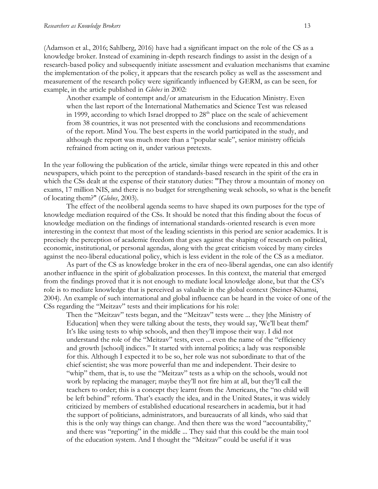(Adamson et al., 2016; Sahlberg, 2016) have had a significant impact on the role of the CS as a knowledge broker. Instead of examining in-depth research findings to assist in the design of a research-based policy and subsequently initiate assessment and evaluation mechanisms that examine the implementation of the policy, it appears that the research policy as well as the assessment and measurement of the research policy were significantly influenced by GERM, as can be seen, for example, in the article published in *Globes* in 2002:

Another example of contempt and/or amateurism in the Education Ministry. Even when the last report of the International Mathematics and Science Test was released in 1999, according to which Israel dropped to  $28<sup>th</sup>$  place on the scale of achievement from 38 countries, it was not presented with the conclusions and recommendations of the report. Mind You. The best experts in the world participated in the study, and although the report was much more than a "popular scale", senior ministry officials refrained from acting on it, under various pretexts.

In the year following the publication of the article, similar things were repeated in this and other newspapers, which point to the perception of standards-based research in the spirit of the era in which the CSs dealt at the expense of their statutory duties: "They throw a mountain of money on exams, 17 million NIS, and there is no budget for strengthening weak schools, so what is the benefit of locating them?" (*Globes*, 2003).

The effect of the neoliberal agenda seems to have shaped its own purposes for the type of knowledge mediation required of the CSs. It should be noted that this finding about the focus of knowledge mediation on the findings of international standards-oriented research is even more interesting in the context that most of the leading scientists in this period are senior academics. It is precisely the perception of academic freedom that goes against the shaping of research on political, economic, institutional, or personal agendas, along with the great criticism voiced by many circles against the neo-liberal educational policy, which is less evident in the role of the CS as a mediator.

As part of the CS as knowledge broker in the era of neo-liberal agendas, one can also identify another influence in the spirit of globalization processes. In this context, the material that emerged from the findings proved that it is not enough to mediate local knowledge alone, but that the CS's role is to mediate knowledge that is perceived as valuable in the global context (Steiner-Khamsi, 2004). An example of such international and global influence can be heard in the voice of one of the CSs regarding the "Meitzav" tests and their implications for his role:

Then the "Meitzav" tests began, and the "Meitzav" tests were ... they [the Ministry of Education] when they were talking about the tests, they would say, 'We'll beat them!' It's like using tests to whip schools, and then they'll impose their way. I did not understand the role of the "Meitzav" tests, even ... even the name of the "efficiency and growth [school] indices." It started with internal politics; a lady was responsible for this. Although I expected it to be so, her role was not subordinate to that of the chief scientist; she was more powerful than me and independent. Their desire to "whip" them, that is, to use the "Meitzav" tests as a whip on the schools, would not work by replacing the manager; maybe they'll not fire him at all, but they'll call the teachers to order; this is a concept they learnt from the Americans, the "no child will be left behind" reform. That's exactly the idea, and in the United States, it was widely criticized by members of established educational researchers in academia, but it had the support of politicians, administrators, and bureaucrats of all kinds, who said that this is the only way things can change. And then there was the word "accountability," and there was "reporting" in the middle ... They said that this could be the main tool of the education system. And I thought the "Meitzav" could be useful if it was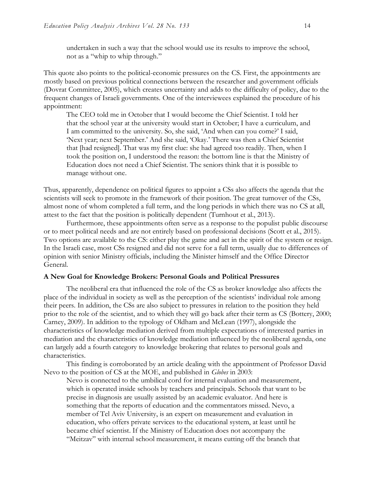undertaken in such a way that the school would use its results to improve the school, not as a "whip to whip through."

This quote also points to the political-economic pressures on the CS. First, the appointments are mostly based on previous political connections between the researcher and government officials (Dovrat Committee, 2005), which creates uncertainty and adds to the difficulty of policy, due to the frequent changes of Israeli governments. One of the interviewees explained the procedure of his appointment:

The CEO told me in October that I would become the Chief Scientist. I told her that the school year at the university would start in October; I have a curriculum, and I am committed to the university. So, she said, 'And when can you come?' I said, 'Next year; next September.' And she said, 'Okay.' There was then a Chief Scientist that [had resigned]. That was my first clue: she had agreed too readily. Then, when I took the position on, I understood the reason: the bottom line is that the Ministry of Education does not need a Chief Scientist. The seniors think that it is possible to manage without one.

Thus, apparently, dependence on political figures to appoint a CSs also affects the agenda that the scientists will seek to promote in the framework of their position. The great turnover of the CSs, almost none of whom completed a full term, and the long periods in which there was no CS at all, attest to the fact that the position is politically dependent (Turnhout et al., 2013).

Furthermore, these appointments often serve as a response to the populist public discourse or to meet political needs and are not entirely based on professional decisions (Scott et al., 2015). Two options are available to the CS: either play the game and act in the spirit of the system or resign. In the Israeli case, most CSs resigned and did not serve for a full term, usually due to differences of opinion with senior Ministry officials, including the Minister himself and the Office Director General.

#### **A New Goal for Knowledge Brokers: Personal Goals and Political Pressures**

The neoliberal era that influenced the role of the CS as broker knowledge also affects the place of the individual in society as well as the perception of the scientists' individual role among their peers. In addition, the CSs are also subject to pressures in relation to the position they held prior to the role of the scientist, and to which they will go back after their term as CS (Bottery, 2000; Carney, 2009). In addition to the typology of Oldham and McLean (1997), alongside the characteristics of knowledge mediation derived from multiple expectations of interested parties in mediation and the characteristics of knowledge mediation influenced by the neoliberal agenda, one can largely add a fourth category to knowledge brokering that relates to personal goals and characteristics.

This finding is corroborated by an article dealing with the appointment of Professor David Nevo to the position of CS at the MOE, and published in *Globes* in 2003:

Nevo is connected to the umbilical cord for internal evaluation and measurement, which is operated inside schools by teachers and principals. Schools that want to be precise in diagnosis are usually assisted by an academic evaluator. And here is something that the reports of education and the commentators missed. Nevo, a member of Tel Aviv University, is an expert on measurement and evaluation in education, who offers private services to the educational system, at least until he became chief scientist. If the Ministry of Education does not accompany the "Meitzav" with internal school measurement, it means cutting off the branch that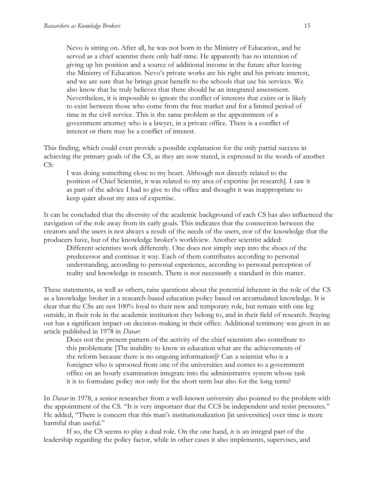Nevo is sitting on. After all, he was not born in the Ministry of Education, and he served as a chief scientist there only half-time. He apparently has no intention of giving up his position and a source of additional income in the future after leaving the Ministry of Education. Nevo's private works are his right and his private interest, and we are sure that he brings great benefit to the schools that use his services. We also know that he truly believes that there should be an integrated assessment. Nevertheless, it is impossible to ignore the conflict of interests that exists or is likely to exist between those who come from the free market and for a limited period of time in the civil service. This is the same problem as the appointment of a government attorney who is a lawyer, in a private office. There is a conflict of interest or there may be a conflict of interest.

This finding, which could even provide a possible explanation for the only partial success in achieving the primary goals of the CS, as they are now stated, is expressed in the words of another CS:

I was doing something close to my heart. Although not directly related to the position of Chief Scientist, it was related to my area of expertise [in research]. I saw it as part of the advice I had to give to the office and thought it was inappropriate to keep quiet about my area of expertise.

It can be concluded that the diversity of the academic background of each CS has also influenced the navigation of the role away from its early goals. This indicates that the connection between the creators and the users is not always a result of the needs of the users, nor of the knowledge that the producers have, but of the knowledge broker's worldview. Another scientist added:

Different scientists work differently. One does not simply step into the shoes of the predecessor and continue it way. Each of them contributes according to personal understanding, according to personal experience, according to personal perception of reality and knowledge in research. There is not necessarily a standard in this matter.

These statements, as well as others, raise questions about the potential inherent in the role of the CS as a knowledge broker in a research-based education policy based on accumulated knowledge. It is clear that the CSs are not 100% loyal to their new and temporary role, but remain with one leg outside, in their role in the academic institution they belong to, and in their field of research. Staying out has a significant impact on decision-making in their office. Additional testimony was given in an article published in 1978 in *Davar*:

Does not the present pattern of the activity of the chief scientists also contribute to this problematic [The inability to know in education what are the achievements of the reform because there is no ongoing information]? Can a scientist who is a foreigner who is uprooted from one of the universities and comes to a government office on an hourly examination integrate into the administrative system whose task it is to formulate policy not only for the short term but also for the long term?

In *Davar* in 1978, a senior researcher from a well-known university also pointed to the problem with the appointment of the CS. "It is very important that the CCS be independent and resist pressures." He added, "There is concern that this man's institutionalization [in universities] over time is more harmful than useful."

If so, the CS seems to play a dual role. On the one hand, it is an integral part of the leadership regarding the policy factor, while in other cases it also implements, supervises, and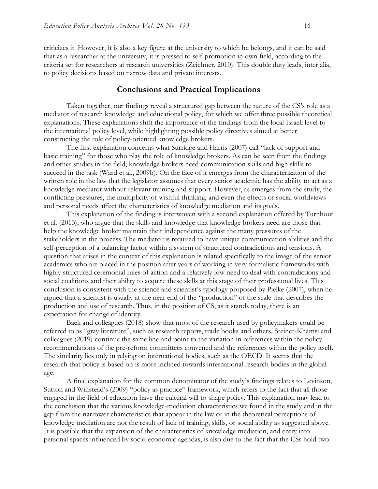criticizes it. However, it is also a key figure at the university to which he belongs, and it can be said that as a researcher at the university, it is pressed to self-promotion in own field, according to the criteria set for researchers at research universities (Zeichner, 2010). This double duty leads, inter alia, to policy decisions based on narrow data and private interests.

#### **Conclusions and Practical Implications**

Taken together, our findings reveal a structured gap between the nature of the CS's role as a mediator of research knowledge and educational policy, for which we offer three possible theoretical explanations. These explanations shift the importance of the findings from the local Israeli level to the international policy level, while highlighting possible policy directives aimed at better constructing the role of policy-oriented knowledge brokers.

The first explanation concerns what Surridge and Harris (2007) call "lack of support and basic training" for those who play the role of knowledge brokers. As can be seen from the findings and other studies in the field, knowledge brokers need communication skills and high skills to succeed in the task (Ward et al., 2009b). On the face of it emerges from the characterization of the written role in the law that the legislator assumes that every senior academic has the ability to act as a knowledge mediator without relevant training and support. However, as emerges from the study, the conflicting pressures, the multiplicity of wishful thinking, and even the effects of social worldviews and personal needs affect the characteristics of knowledge mediation and its goals.

This explanation of the finding is interwoven with a second explanation offered by Turnhout et al. (2013), who argue that the skills and knowledge that knowledge brokers need are those that help the knowledge broker maintain their independence against the many pressures of the stakeholders in the process. The mediator is required to have unique communication abilities and the self-perception of a balancing factor within a system of structured contradictions and tensions. A question that arises in the context of this explanation is related specifically to the image of the senior academics who are placed in the position after years of working in very formalistic frameworks with highly structured ceremonial rules of action and a relatively low need to deal with contradictions and social coalitions and their ability to acquire these skills at this stage of their professional lives. This conclusion is consistent with the science and scientist's typology proposed by Pielke (2007), when he argued that a scientist is usually at the near end of the "production" of the scale that describes the production and use of research. Thus, in the position of CS, as it stands today, there is an expectation for change of identity.

Baek and colleagues (2018) show that most of the research used by policymakers could be referred to as "gray literature", such as research reports, trade books and others. Steiner-Khamsi and colleagues (2019) continue the same line and point to the variation in references within the policy recommendations of the pre-reform committees convened and the references within the policy itself. The similarity lies only in relying on international bodies, such as the OECD. It seems that the research that policy is based on is more inclined towards international research bodies in the global age.

A final explanation for the common denominator of the study's findings relates to Levinson, Sutton and Winstead's (2009) "policy as practice" framework, which refers to the fact that all those engaged in the field of education have the cultural will to shape policy. This explanation may lead to the conclusion that the various knowledge-mediation characteristics we found in the study and in the gap from the narrower characteristics that appear in the law or in the theoretical perceptions of knowledge mediation are not the result of lack of training, skills, or social ability as suggested above. It is possible that the expansion of the characteristics of knowledge mediation, and entry into personal spaces influenced by socio-economic agendas, is also due to the fact that the CSs hold two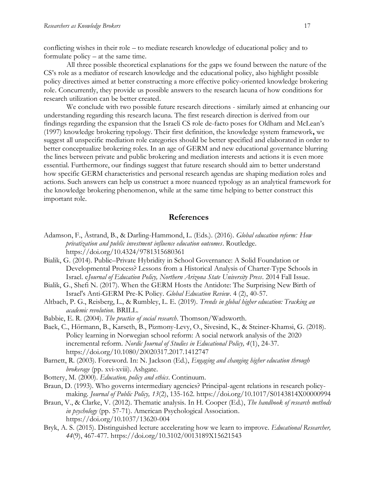conflicting wishes in their role – to mediate research knowledge of educational policy and to formulate policy – at the same time.

All three possible theoretical explanations for the gaps we found between the nature of the CS's role as a mediator of research knowledge and the educational policy, also highlight possible policy directives aimed at better constructing a more effective policy-oriented knowledge brokering role. Concurrently, they provide us possible answers to the research lacuna of how conditions for research utilization can be better created.

We conclude with two possible future research directions - similarly aimed at enhancing our understanding regarding this research lacuna. The first research direction is derived from our findings regarding the expansion that the Israeli CS role de-facto poses for Oldham and McLean's (1997) knowledge brokering typology. Their first definition, the knowledge system framework**,** we suggest all unspecific mediation role categories should be better specified and elaborated in order to better conceptualize brokering roles. In an age of GERM and new educational governance blurring the lines between private and public brokering and mediation interests and actions it is even more essential. Furthermore, our findings suggest that future research should aim to better understand how specific GERM characteristics and personal research agendas are shaping mediation roles and actions. Such answers can help us construct a more nuanced typology as an analytical framework for the knowledge brokering phenomenon, while at the same time helping to better construct this important role.

### **References**

- Adamson, F., Åstrand, B., & Darling-Hammond, L. (Eds.). (2016). *Global education reform: How privatization and public investment influence education outcomes*. Routledge. https://doi.org/10.4324/9781315680361
- Bialik, G. (2014). Public–Private Hybridity in School Governance: A Solid Foundation or Developmental Process? Lessons from a Historical Analysis of Charter-Type Schools in Israel. e*Journal of Education Policy, Northern Arizona State University Press*. 2014 Fall Issue.
- Bialik, G., Shefi N. (2017). When the GERM Hosts the Antidote: The Surprising New Birth of Israel's Anti-GERM Pre-K Policy. *Global Education Review*. 4 (2), 40-57.
- Altbach, P. G., Reisberg, L., & Rumbley, L. E. (2019). *Trends in global higher education: Tracking an academic revolution*. BRILL.
- Babbie, E. R. (2004). *The practice of social research*. Thomson/Wadsworth.
- Baek, C., Hörmann, B., Karseth, B., Pizmony-Levy, O., Sivesind, K., & Steiner-Khamsi, G. (2018). Policy learning in Norwegian school reform: A social network analysis of the 2020 incremental reform. *Nordic Journal of Studies in Educational Policy, 4*(1), 24-37. https://doi.org/10.1080/20020317.2017.1412747
- Barnett, R. (2003). Foreword. In: N. Jackson (Ed.), *Engaging and changing higher education through brokerage* (pp. xvi-xviii). Ashgate.
- Bottery, M. (2000). *Education, policy and ethics*. Continuum.
- Braun, D. (1993). Who governs intermediary agencies? Principal-agent relations in research policymaking. *Journal of Public Policy, 13*(2), 135-162. https://doi.org/10.1017/S0143814X00000994
- Braun, V., & Clarke, V. (2012). Thematic analysis. In H. Cooper (Ed.), *The handbook of research methods in psychology* (pp. 57-71). American Psychological Association. https://doi.org/10.1037/13620-004
- Bryk, A. S. (2015). Distinguished lecture accelerating how we learn to improve. *Educational Researcher, 44*(9), 467-477. https://doi.org/10.3102/0013189X15621543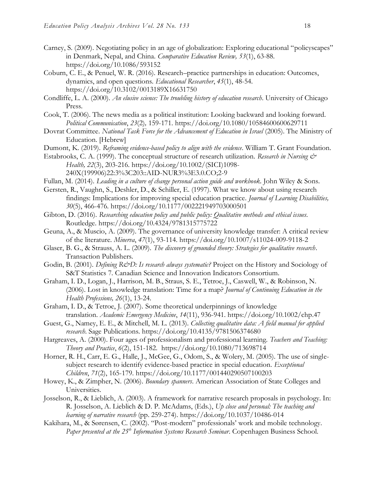- Carney, S. (2009). Negotiating policy in an age of globalization: Exploring educational "policyscapes" in Denmark, Nepal, and China. *Comparative Education Review, 53*(1), 63-88. https://doi.org/10.1086/593152
- Coburn, C. E., & Penuel, W. R. (2016). Research–practice partnerships in education: Outcomes, dynamics, and open questions. *Educational Researcher*, *45*(1), 48-54. https://doi.org/10.3102/0013189X16631750
- Condliffe, L. A. (2000). *An elusive science: The troubling history of education research*. University of Chicago Press.
- Cook, T. (2006). The news media as a political institution: Looking backward and looking forward. *Political Communication*, *23*(2)*,* 159-171. https://doi.org/10.1080/10584600600629711
- Dovrat Committee. *National Task Force for the Advancement of Education in Israel* (2005). The Ministry of Education. [Hebrew]
- Dumont, K. (2019). *Reframing evidence-based policy to align with the evidence*. William T. Grant Foundation.
- Estabrooks, C. A. (1999). The conceptual structure of research utilization. *Research in Nursing & Health, 22*(3), 203-216. https://doi.org/10.1002/(SICI)1098- 240X(199906)22:3%3C203::AID-NUR3%3E3.0.CO;2-9
- Fullan, M. (2014). *Leading in a culture of change personal action guide and workbook.* John Wiley & Sons.
- Gersten, R., Vaughn, S., Deshler, D., & Schiller, E. (1997). What we know about using research findings: Implications for improving special education practice. *Journal of Learning Disabilities, 30*(5), 466-476. https://doi.org/10.1177/002221949703000501
- Gibton, D. (2016). *Researching education policy and public policy: Qualitative methods and ethical issues.* Routledge. https://doi.org/10.4324/9781315775722
- Geuna, A., & Muscio, A. (2009). The governance of university knowledge transfer: A critical review of the literature. *Minerva*, *47*(1), 93-114. https://doi.org/10.1007/s11024-009-9118-2
- Glaser, B. G., & Strauss, A. L. (2009). *The discovery of grounded theory: Strategies for qualitative research*. Transaction Publishers.
- Godin, B. (2001). *Defining R&D: Is research always systematic?* Project on the History and Sociology of S&T Statistics 7. Canadian Science and Innovation Indicators Consortium.
- Graham, I. D., Logan, J., Harrison, M. B., Straus, S. E., Tetroe, J., Caswell, W., & Robinson, N. (2006). Lost in knowledge translation: Time for a map? *Journal of Continuing Education in the Health Professions, 26*(1), 13-24.
- Graham, I. D., & Tetroe, J. (2007). Some theoretical underpinnings of knowledge translation. *Academic Emergency Medicine*, *14*(11), 936-941. https://doi.org/10.1002/chp.47
- Guest, G., Namey, E. E., & Mitchell, M. L. (2013). *Collecting qualitative data: A field manual for applied research*. Sage Publications. https://doi.org/10.4135/9781506374680
- Hargreaves, A. (2000). Four ages of professionalism and professional learning. *Teachers and Teaching: Theory and Practice*, *6*(2), 151-182. https://doi.org/10.1080/713698714
- Horner, R. H., Carr, E. G., Halle, J., McGee, G., Odom, S., & Wolery, M. (2005). The use of singlesubject research to identify evidence-based practice in special education. *Exceptional Children*, *71*(2), 165-179. https://doi.org/10.1177/001440290507100203
- Howey, K., & Zimpher, N. (2006). *Boundary spanners*. American Association of State Colleges and Universities.
- Josselson, R., & Lieblich, A. (2003). A framework for narrative research proposals in psychology. In: R. Josselson, A. Lieblich & D. P. McAdams, (Eds.), *Up close and personal: The teaching and learning of narrative research* (pp. 259-274). https://doi.org/10.1037/10486-014
- Kakihara, M., & Sørensen, C. (2002). "Post-modern" professionals' work and mobile technology. *Paper presented at the 25th Information Systems Research Seminar*. Copenhagen Business School.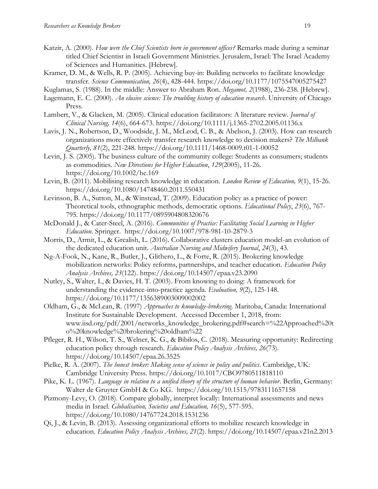- Katzir, A. (2000). *How were the Chief Scientists born in government offices?* Remarks made during a seminar titled Chief Scientist in Israeli Government Ministries. Jerusalem, Israel: The Israel Academy of Sciences and Humanities. [Hebrew].
- Kramer, D. M., & Wells, R. P. (2005). Achieving buy-in: Building networks to facilitate knowledge transfer. *Science Communication, 26*(4), 428-444. https://doi.org/10.1177/1075547005275427
- Kuglamas, S. (1988). In the middle: Answer to Abraham Ron. *Megamot, 2*(1988), 236-238. [Hebrew].
- Lagemann, E. C. (2000). *An elusive science: The troubling history of education research*. University of Chicago Press.
- Lambert, V., & Glacken, M. (2005). Clinical education facilitators: A literature review. *Journal of Clinical Nursing, 14*(6), 664-673. https://doi.org/10.1111/j.1365-2702.2005.01136.x
- Lavis, J. N., Robertson, D., Woodside, J. M., McLeod, C. B., & Abelson, J. (2003). How can research organizations more effectively transfer research knowledge to decision makers? *The Milbank Quarterly, 81*(2), 221-248. https://doi.org/10.1111/1468-0009.t01-1-00052
- Levin, J. S. (2005). The business culture of the community college: Students as consumers; students as commodities. *New Directions for Higher Education*, *129*(2005), 11-26. https://doi.org/10.1002/he.169
- Levin, B. (2011). Mobilising research knowledge in education. *London Review of Education, 9*(1), 15-26. https://doi.org/10.1080/14748460.2011.550431
- Levinson, B. A., Sutton, M., & Winstead, T. (2009). Education policy as a practice of power: Theoretical tools, ethnographic methods, democratic options. *Educational Policy*, *23*(6), 767- 795. https://doi.org/10.1177/0895904808320676
- McDonald J., & Cater-Steel, A. (2016). *Communities of Practice: Facilitating Social Learning in Higher Education*. Springer. https://doi.org/10.1007/978-981-10-2879-3
- Morris, D., Armit, L., & Grealish, L. (2016). Collaborative clusters education model-an evolution of the dedicated education unit. *Australian Nursing and Midwifery Journal*, *24*(3), 43.
- Ng-A-Fook, N., Kane, R., Butler, J., Glithero, L., & Forte, R. (2015). Brokering knowledge mobilization networks: Policy reforms, partnerships, and teacher education. *Education Policy Analysis Archives, 23*(122). https://doi.org/10.14507/epaa.v23.2090
- Nutley, S., Walter, I., & Davies, H. T. (2003). From knowing to doing: A framework for understanding the evidence-into-practice agenda. *Evaluation, 9*(2), 125-148. https://doi.org/10.1177/1356389003009002002
- Oldham, G., & McLean, R. (1997) *Approaches to knowledge-brokering*. Maritoba, Canada: International Institute for Sustainable Development. Accessed December 1, 2018, from: www.iisd.org/pdf/2001/networks\_knowledge\_brokering.pdf#search=%22Approached%20t o%20knowledge%20brokering%20oldham%22
- Pfleger, R. H., Wilson, T. S., Welner, K. G., & Bibilos, C. (2018). Measuring opportunity: Redirecting education policy through research. *Education Policy Analysis Archives, 26*(73). https://doi.org/10.14507/epaa.26.3525
- Pielke, R. A. (2007). *The honest broker: Making sense of science in policy and politics*. Cambridge, UK: Cambridge University Press. https://doi.org/10.1017/CBO9780511818110
- Pike, K. L. (1967). *Language in relation to a unified theory of the structure of human behavior*. Berlin, Germany: Walter de Gruyter GmbH & Co KG. https://doi.org/10.1515/9783111657158
- Pizmony-Levy, O. (2018). Compare globally, interpret locally: International assessments and news media in Israel. *Globalisation, Societies and Education, 16*(5), 577-595. https://doi.org/10.1080/14767724.2018.1531236
- Qi, J., & Levin, B. (2013). Assessing organizational efforts to mobilize research knowledge in education. *Education Policy Analysis Archives, 21*(2). https://doi.org/10.14507/epaa.v21n2.2013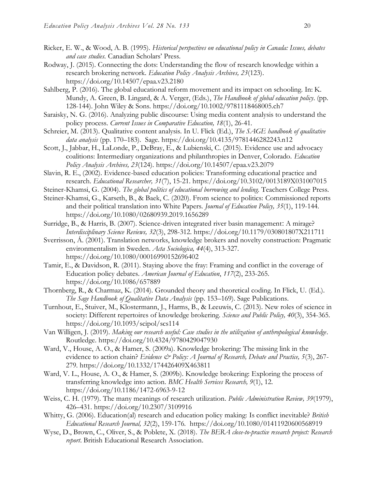- Ricker, E. W., & Wood, A. B. (1995). *Historical perspectives on educational policy in Canada: Issues, debates and case studies.* Canadian Scholars' Press.
- Rodway, J. (2015). Connecting the dots: Understanding the flow of research knowledge within a research brokering network. *Education Policy Analysis Archives, 23*(123). https://doi.org/10.14507/epaa.v23.2180
- Sahlberg, P. (2016). The global educational reform movement and its impact on schooling. In: K. Mundy, A. Green, B. Lingard, & A. Verger, (Eds.), *The Handbook of global education policy*. (pp. 128-144). John Wiley & Sons. https://doi.org/10.1002/9781118468005.ch7
- Saraisky, N. G. (2016). Analyzing public discourse: Using media content analysis to understand the policy process. *Current Issues in Comparative Education, 18*(1), 26-41.
- Schreier, M. (2013). Qualitative content analysis. In U. Flick (Ed.), *The SAGE handbook of qualitative data analysis* (pp. 170–183). Sage. https://doi.org/10.4135/9781446282243.n12
- Scott, J., Jabbar, H., LaLonde, P., DeBray, E., & Lubienski, C. (2015). Evidence use and advocacy coalitions: Intermediary organizations and philanthropies in Denver, Colorado. *Education Policy Analysis Archives, 23*(124). https://doi.org/10.14507/epaa.v23.2079
- Slavin, R. E., (2002). Evidence-based education policies: Transforming educational practice and research. *Educational Researcher, 31*(7), 15-21. https://doi.org/10.3102/0013189X031007015
- Steiner-Khamsi, G. (2004). *The global politics of educational borrowing and lending*. Teachers College Press.
- Steiner-Khamsi, G., Karseth, B., & Baek, C. (2020). From science to politics: Commissioned reports and their political translation into White Papers. *Journal of Education Policy, 35*(1), 119-144. https://doi.org/10.1080/02680939.2019.1656289
- Surridge, B., & Harris, B. (2007). Science-driven integrated river basin management: A mirage? *Interdisciplinary Science Reviews, 32*(3), 298-312. https://doi.org/10.1179/030801807X211711
- Sverrisson, Á. (2001). Translation networks, knowledge brokers and novelty construction: Pragmatic environmentalism in Sweden. *Acta Sociologica, 44*(4), 313-327. https://doi.org/10.1080/00016990152696402
- Tamir, E., & Davidson, R. (2011). Staying above the fray: Framing and conflict in the coverage of Education policy debates. *American Journal of Education*, *117*(2), 233-265. https://doi.org/10.1086/657889
- Thornberg, R., & Charmaz, K. (2014). Grounded theory and theoretical coding. In Flick, U. (Ed.). *The Sage Handbook of Qualitative Data Analysis* (pp. 153–169). Sage Publications.
- Turnhout, E., Stuiver, M., Klostermann, J., Harms, B., & Leeuwis, C. (2013). New roles of science in society: Different repertoires of knowledge brokering. *Science and Public Policy, 40*(3), 354-365. https://doi.org/10.1093/scipol/scs114
- Van Willigen, J. (2019). *Making our research useful: Case studies in the utilization of anthropological knowledge*. Routledge. https://doi.org/10.4324/9780429047930
- Ward, V., House, A. O., & Hamer, S. (2009a). Knowledge brokering: The missing link in the evidence to action chain? *Evidence & Policy: A Journal of Research, Debate and Practice, 5(3)*, 267-279. https://doi.org/10.1332/174426409X463811
- Ward, V. L., House, A. O., & Hamer, S. (2009b). Knowledge brokering: Exploring the process of transferring knowledge into action. *BMC Health Services Research, 9*(1), 12. https://doi.org/10.1186/1472-6963-9-12
- Weiss, C. H. (1979). The many meanings of research utilization. *Public Administration Review, 39*(1979), 426–431. https://doi.org/10.2307/3109916
- Whitty, G. (2006). Education(al) research and education policy making: Is conflict inevitable? *British Educational Research Journal, 32*(2), 159-176. https://doi.org/10.1080/01411920600568919
- Wyse, D., Brown, C., Oliver, S., & Poblete, X. (2018). *The BERA close-to-practice research project: Research report*. British Educational Research Association.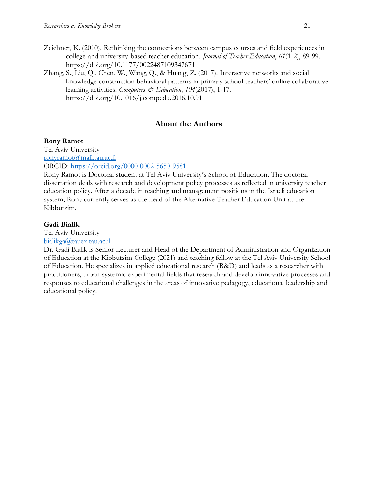- Zeichner, K. (2010). Rethinking the connections between campus courses and field experiences in college-and university-based teacher education. *Journal of Teacher Education*, *61*(1-2), 89-99. https://doi.org/10.1177/0022487109347671
- Zhang, S., Liu, Q., Chen, W., Wang, Q., & Huang, Z. (2017). Interactive networks and social knowledge construction behavioral patterns in primary school teachers' online collaborative learning activities. *Computers & Education*, 104(2017), 1-17. https://doi.org/10.1016/j.compedu.2016.10.011

## **About the Authors**

## **Rony Ramot**

Tel Aviv University [ronyramot@mail.tau.ac.il](mailto:ronyramot@mail.tau.ac.il)

ORCID:<https://orcid.org/0000-0002-5650-9581>

Rony Ramot is Doctoral student at Tel Aviv University's School of Education. The doctoral dissertation deals with research and development policy processes as reflected in university teacher education policy. After a decade in teaching and management positions in the Israeli education system, Rony currently serves as the head of the Alternative Teacher Education Unit at the Kibbutzim.

## **Gadi Bialik**

Tel Aviv University

[bialikga@tauex.tau.ac.il](mailto:bialikga@tauex.tau.ac.il)

Dr. Gadi Bialik is Senior Lecturer and Head of the Department of Administration and Organization of Education at the Kibbutzim College (2021) and teaching fellow at the Tel Aviv University School of Education. He specializes in applied educational research (R&D) and leads as a researcher with practitioners, urban systemic experimental fields that research and develop innovative processes and responses to educational challenges in the areas of innovative pedagogy, educational leadership and educational policy.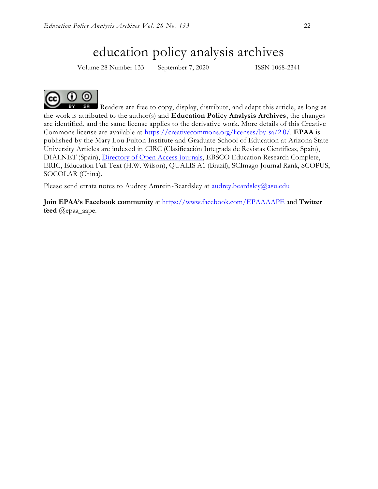## education policy analysis archives

Volume 28 Number 133 September 7, 2020 ISSN 1068-2341



Readers are free to copy, display, distribute, and adapt this article, as long as the work is attributed to the author(s) and **Education Policy Analysis Archives**, the changes are identified, and the same license applies to the derivative work. More details of this Creative Commons license are available at [https://creativecommons.org/licenses/by-sa/2.0/.](https://creativecommons.org/licenses/by-sa/2.0/) **EPAA** is published by the Mary Lou Fulton Institute and Graduate School of Education at Arizona State University Articles are indexed in CIRC (Clasificación Integrada de Revistas Científicas, Spain), DIALNET (Spain), [Directory of Open Access Journals,](http://www.doaj.org/) EBSCO Education Research Complete, ERIC, Education Full Text (H.W. Wilson), QUALIS A1 (Brazil), SCImago Journal Rank, SCOPUS, SOCOLAR (China).

Please send errata notes to Audrey Amrein-Beardsley at [audrey.beardsley@asu.edu](mailto:audrey.beardsley@asu.edu)

**Join EPAA's Facebook community** at<https://www.facebook.com/EPAAAAPE> and **Twitter feed** @epaa\_aape.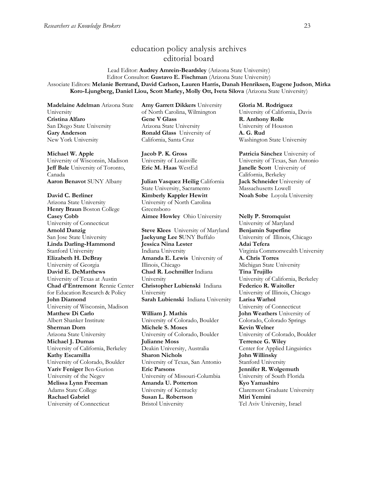## education policy analysis archives editorial board

Lead Editor: **Audrey Amrein-Beardsley** (Arizona State University) Editor Consultor: **Gustavo E. Fischman** (Arizona State University) Associate Editors: **Melanie Bertrand, David Carlson, Lauren Harris, Danah Henriksen, Eugene Judson**, **Mirka Koro-Ljungberg, Daniel Liou, Scott Marley, Molly Ott, Iveta Silova** (Arizona State University)

**Madelaine Adelman** Arizona State University **Cristina Alfaro**  San Diego State University **Gary Anderson** New York University

#### **Michael W. Apple**

University of Wisconsin, Madison **Jeff Bale** University of Toronto, Canada **Aaron Benavot** SUNY Albany **Julian Vasquez Heilig** California

**David C. Berliner**  Arizona State University **Henry Braun** Boston College **Casey Cobb** University of Connecticut **Arnold Danzig** San Jose State University **Linda Darling-Hammond**  Stanford University **Elizabeth H. DeBray**  University of Georgia **David E. DeMatthews** University of Texas at Austin **Chad d'Entremont** Rennie Center for Education Research & Policy **John Diamond** University of Wisconsin, Madison **Matthew Di Carlo**  Albert Shanker Institute **Sherman Dorn** Arizona State University **Michael J. Dumas**  University of California, Berkeley **Kathy Escamilla**  University of Colorado, Boulder **Yariv Feniger** Ben-Gurion University of the Negev **Melissa Lynn Freeman**  Adams State College **Rachael Gabriel** University of Connecticut

**Amy Garrett Dikkers** University of North Carolina, Wilmington **Gene V Glass**  Arizona State University **Ronald Glass** University of California, Santa Cruz

**Jacob P. K. Gross**  University of Louisville

State University, Sacramento **Kimberly Kappler Hewitt** University of North Carolina Greensboro **Aimee Howley** Ohio University **Nelly P. Stromquist** 

**Steve Klees** University of Maryland **Jaekyung Lee S**UNY Buffalo **Jessica Nina Lester** Indiana University **Amanda E. Lewis** University of Illinois, Chicago **Chad R. Lochmiller** Indiana University **Christopher Lubienski** Indiana University **Sarah Lubienski** Indiana University **Larisa Warhol**

**William J. Mathis**  University of Colorado, Boulder **Michele S. Moses**  University of Colorado, Boulder **Julianne Moss** Deakin University, Australia **Sharon Nichols**  University of Texas, San Antonio **Eric Parsons** University of Missouri-Columbia **Amanda U. Potterton** University of Kentucky **Susan L. Robertson** Bristol University

**Gloria M. Rodriguez** University of California, Davis **R. Anthony Rolle**  University of Houston **A. G. Rud**  Washington State University

**Patricia Sánchez** University of University of Texas, San Antonio **Eric M. Haas** WestEd **Janelle Scott** University of California, Berkeley **Jack Schneider** University of Massachusetts Lowell **Noah Sobe** Loyola University

> University of Maryland **Benjamin Superfine**  University of Illinois, Chicago **Adai Tefera**  Virginia Commonwealth University **A. Chris Torres** Michigan State University **Tina Trujillo**  University of California, Berkeley **Federico R. Waitoller**  University of Illinois, Chicago University of Connecticut **John Weathers** University of Colorado, Colorado Springs **Kevin Welner** University of Colorado, Boulder **Terrence G. Wiley**  Center for Applied Linguistics **John Willinsky**  Stanford University **Jennifer R. Wolgemuth**  University of South Florida **Kyo Yamashiro**  Claremont Graduate University **Miri Yemini** Tel Aviv University, Israel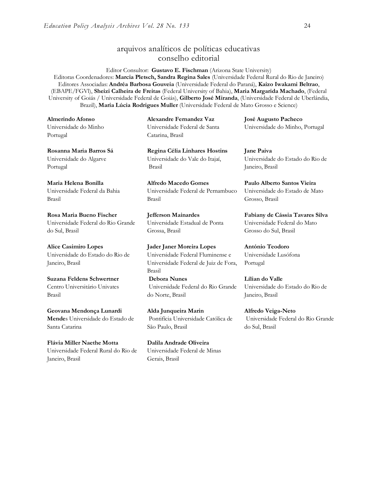## arquivos analíticos de políticas educativas conselho editorial

Editor Consultor: **Gustavo E. Fischman** (Arizona State University) Editoras Coordenadores: **Marcia Pletsch, Sandra Regina Sales** (Universidade Federal Rural do Rio de Janeiro) Editores Associadas: **Andréa Barbosa Gouveia** (Universidade Federal do Paraná), **Kaizo Iwakami Beltrao**, (EBAPE/FGVl), **Sheizi Calheira de Freitas** (Federal University of Bahia), **Maria Margarida Machado**, (Federal University of Goiás / Universidade Federal de Goiás), **Gilberto José Miranda**, (Universidade Federal de Uberlândia, Brazil), **Maria Lúcia Rodrigues Muller** (Universidade Federal de Mato Grosso e Science)

**Almerindo Afonso** Universidade do Minho Portugal

**Rosanna Maria Barros Sá** Universidade do Algarve Portugal

**Maria Helena Bonilla** Universidade Federal da Bahia Brasil

**Rosa Maria Bueno Fischer**  Universidade Federal do Rio Grande do Sul, Brasil

**Alice Casimiro Lopes** Universidade do Estado do Rio de Janeiro, Brasil

**Suzana Feldens Schwertner** Centro Universitário Univates Brasil

**Geovana Mendonça Lunardi Mende**s Universidade do Estado de Santa Catarina

**Flávia Miller Naethe Motta**  Universidade Federal Rural do Rio de Janeiro, Brasil

**Alexandre Fernandez Vaz**  Universidade Federal de Santa Catarina, Brasil

**Regina Célia Linhares Hostins** Universidade do Vale do Itajaí, Brasil

**Alfredo Macedo Gomes** Universidade Federal de Pernambuco Brasil

**Jefferson Mainardes** Universidade Estadual de Ponta Grossa, Brasil

**Jader Janer Moreira Lopes**  Universidade Federal Fluminense e Universidade Federal de Juiz de Fora, Brasil

**Debora Nunes** Universidade Federal do Rio Grande do Norte, Brasil

**Alda Junqueira Marin** Pontifícia Universidade Católica de São Paulo, Brasil

**Dalila Andrade Oliveira**  Universidade Federal de Minas Gerais, Brasil

**Jane Paiva** Universidade do Estado do Rio de Janeiro, Brasil

Universidade do Minho, Portugal

**José Augusto Pacheco**

**Paulo Alberto Santos Vieira** Universidade do Estado de Mato Grosso, Brasil

**Fabiany de Cássia Tavares Silva** Universidade Federal do Mato Grosso do Sul, Brasil

**António Teodoro**  Universidade Lusófona Portugal

**Lílian do Valle** Universidade do Estado do Rio de Janeiro, Brasil

**Alfredo Veiga-Neto** Universidade Federal do Rio Grande do Sul, Brasil